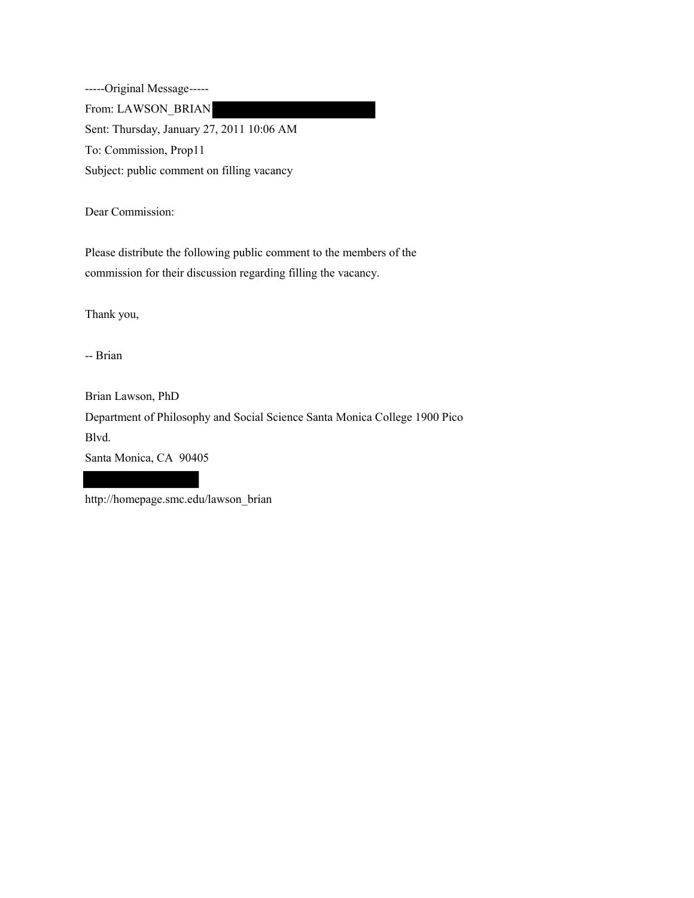-----Original Message----- From: LAWSON\_BRIAN Sent: Thursday, January 27, 2011 10:06 AM To: Commission, Prop11 Subject: public comment on filling vacancy

Dear Commission:

Please distribute the following public comment to the members of the commission for their discussion regarding filling the vacancy.

Thank you,

-- Brian

Brian Lawson, PhD

Department of Philosophy and Social Science Santa Monica College 1900 Pico Blvd.

Santa Monica, CA 90405

http://homepage.smc.edu/lawson\_brian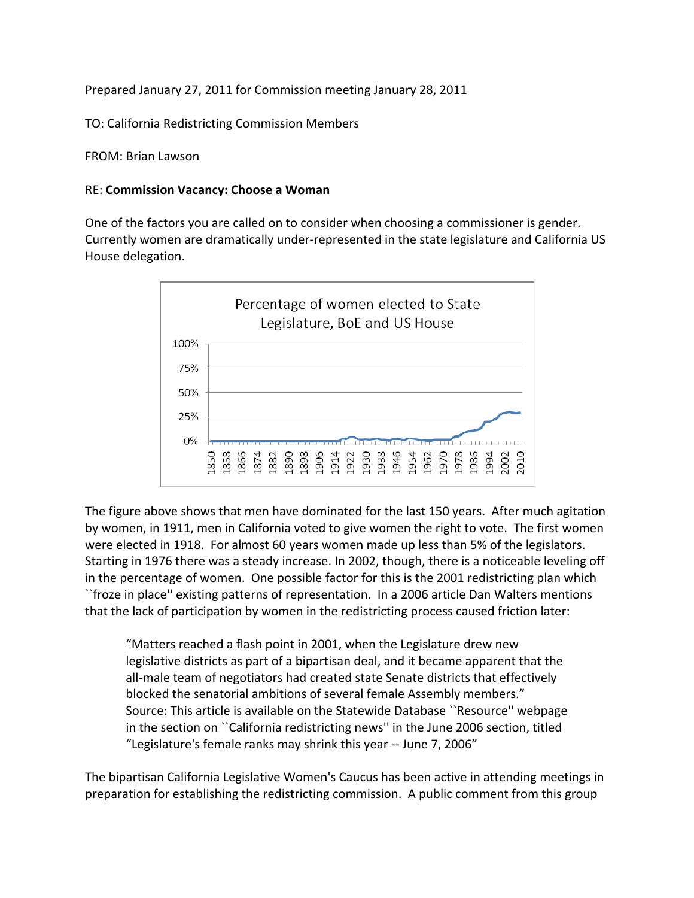Prepared January 27, 2011 for Commission meeting January 28, 2011

TO: California Redistricting Commission Members

FROM: Brian Lawson

## RE: **Commission Vacancy: Choose a Woman**

One of the factors you are called on to consider when choosing a commissioner is gender. Currently women are dramatically under‐represented in the state legislature and California US House delegation.



The figure above shows that men have dominated for the last 150 years. After much agitation by women, in 1911, men in California voted to give women the right to vote. The first women were elected in 1918. For almost 60 years women made up less than 5% of the legislators. Starting in 1976 there was a steady increase. In 2002, though, there is a noticeable leveling off in the percentage of women. One possible factor for this is the 2001 redistricting plan which ``froze in place'' existing patterns of representation. In a 2006 article Dan Walters mentions that the lack of participation by women in the redistricting process caused friction later:

"Matters reached a flash point in 2001, when the Legislature drew new legislative districts as part of a bipartisan deal, and it became apparent that the all‐male team of negotiators had created state Senate districts that effectively blocked the senatorial ambitions of several female Assembly members." Source: This article is available on the Statewide Database ``Resource'' webpage in the section on ``California redistricting news'' in the June 2006 section, titled "Legislature's female ranks may shrink this year ‐‐ June 7, 2006"

The bipartisan California Legislative Women's Caucus has been active in attending meetings in preparation for establishing the redistricting commission. A public comment from this group